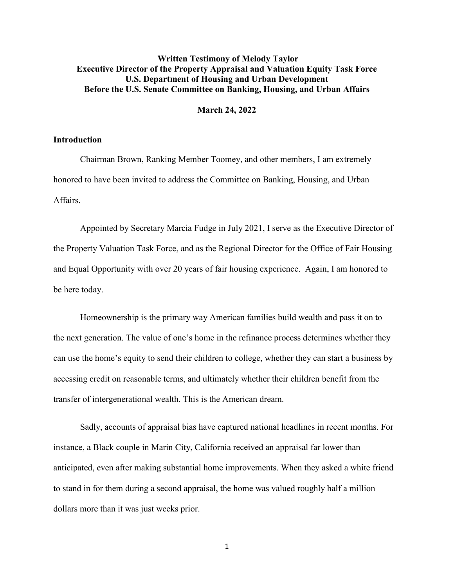# **Written Testimony of Melody Taylor Executive Director of the Property Appraisal and Valuation Equity Task Force U.S. Department of Housing and Urban Development Before the U.S. Senate Committee on Banking, Housing, and Urban Affairs**

#### **March 24, 2022**

#### **Introduction**

Chairman Brown, Ranking Member Toomey, and other members, I am extremely honored to have been invited to address the Committee on Banking, Housing, and Urban Affairs.

Appointed by Secretary Marcia Fudge in July 2021, I serve as the Executive Director of the Property Valuation Task Force, and as the Regional Director for the Office of Fair Housing and Equal Opportunity with over 20 years of fair housing experience. Again, I am honored to be here today.

Homeownership is the primary way American families build wealth and pass it on to the next generation. The value of one's home in the refinance process determines whether they can use the home's equity to send their children to college, whether they can start a business by accessing credit on reasonable terms, and ultimately whether their children benefit from the transfer of intergenerational wealth. This is the American dream.

Sadly, accounts of appraisal bias have captured national headlines in recent months. For instance, a Black couple in Marin City, California received an appraisal far lower than anticipated, even after making substantial home improvements. When they asked a white friend to stand in for them during a second appraisal, the home was valued roughly half a million dollars more than it was just weeks prior.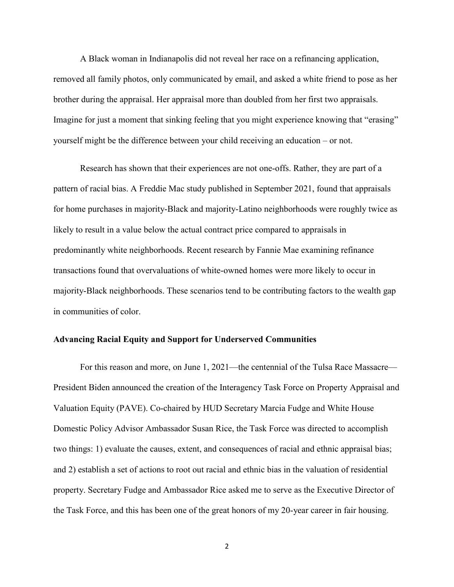A Black woman in Indianapolis did not reveal her race on a refinancing application, removed all family photos, only communicated by email, and asked a white friend to pose as her brother during the appraisal. Her appraisal more than doubled from her first two appraisals. Imagine for just a moment that sinking feeling that you might experience knowing that "erasing" yourself might be the difference between your child receiving an education – or not.

Research has shown that their experiences are not one-offs. Rather, they are part of a pattern of racial bias. A Freddie Mac study published in September 2021, found that appraisals for home purchases in majority-Black and majority-Latino neighborhoods were roughly twice as likely to result in a value below the actual contract price compared to appraisals in predominantly white neighborhoods. Recent research by Fannie Mae examining refinance transactions found that overvaluations of white-owned homes were more likely to occur in majority-Black neighborhoods. These scenarios tend to be contributing factors to the wealth gap in communities of color.

### **Advancing Racial Equity and Support for Underserved Communities**

For this reason and more, on June 1, 2021—the centennial of the Tulsa Race Massacre— President Biden announced the creation of the Interagency Task Force on Property Appraisal and Valuation Equity (PAVE). Co-chaired by HUD Secretary Marcia Fudge and White House Domestic Policy Advisor Ambassador Susan Rice, the Task Force was directed to accomplish two things: 1) evaluate the causes, extent, and consequences of racial and ethnic appraisal bias; and 2) establish a set of actions to root out racial and ethnic bias in the valuation of residential property. Secretary Fudge and Ambassador Rice asked me to serve as the Executive Director of the Task Force, and this has been one of the great honors of my 20-year career in fair housing.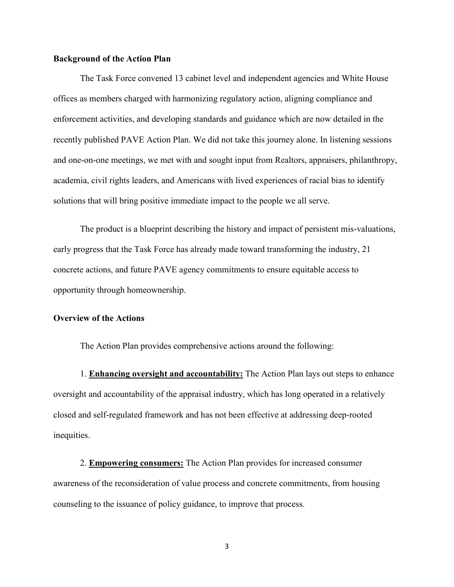### **Background of the Action Plan**

The Task Force convened 13 cabinet level and independent agencies and White House offices as members charged with harmonizing regulatory action, aligning compliance and enforcement activities, and developing standards and guidance which are now detailed in the recently published PAVE Action Plan. We did not take this journey alone. In listening sessions and one-on-one meetings, we met with and sought input from Realtors, appraisers, philanthropy, academia, civil rights leaders, and Americans with lived experiences of racial bias to identify solutions that will bring positive immediate impact to the people we all serve.

The product is a blueprint describing the history and impact of persistent mis-valuations, early progress that the Task Force has already made toward transforming the industry, 21 concrete actions, and future PAVE agency commitments to ensure equitable access to opportunity through homeownership.

## **Overview of the Actions**

The Action Plan provides comprehensive actions around the following:

1. **Enhancing oversight and accountability:** The Action Plan lays out steps to enhance oversight and accountability of the appraisal industry, which has long operated in a relatively closed and self-regulated framework and has not been effective at addressing deep-rooted inequities.

2. **Empowering consumers:** The Action Plan provides for increased consumer awareness of the reconsideration of value process and concrete commitments, from housing counseling to the issuance of policy guidance, to improve that process.

3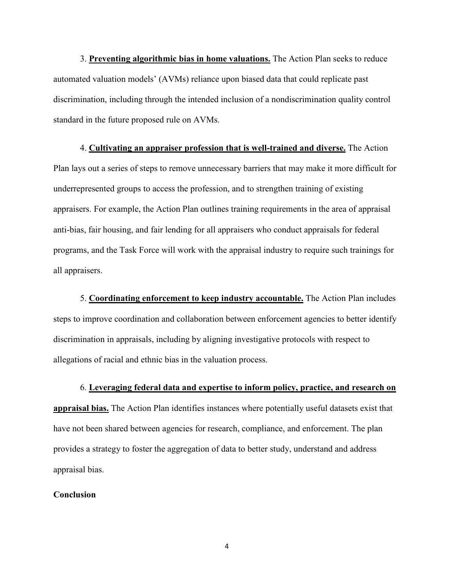3. **Preventing algorithmic bias in home valuations.** The Action Plan seeks to reduce automated valuation models' (AVMs) reliance upon biased data that could replicate past discrimination, including through the intended inclusion of a nondiscrimination quality control standard in the future proposed rule on AVMs.

4. **Cultivating an appraiser profession that is well-trained and diverse.** The Action Plan lays out a series of steps to remove unnecessary barriers that may make it more difficult for underrepresented groups to access the profession, and to strengthen training of existing appraisers. For example, the Action Plan outlines training requirements in the area of appraisal anti-bias, fair housing, and fair lending for all appraisers who conduct appraisals for federal programs, and the Task Force will work with the appraisal industry to require such trainings for all appraisers.

5. **Coordinating enforcement to keep industry accountable.** The Action Plan includes steps to improve coordination and collaboration between enforcement agencies to better identify discrimination in appraisals, including by aligning investigative protocols with respect to allegations of racial and ethnic bias in the valuation process.

6. **Leveraging federal data and expertise to inform policy, practice, and research on appraisal bias.** The Action Plan identifies instances where potentially useful datasets exist that have not been shared between agencies for research, compliance, and enforcement. The plan provides a strategy to foster the aggregation of data to better study, understand and address appraisal bias.

### **Conclusion**

4